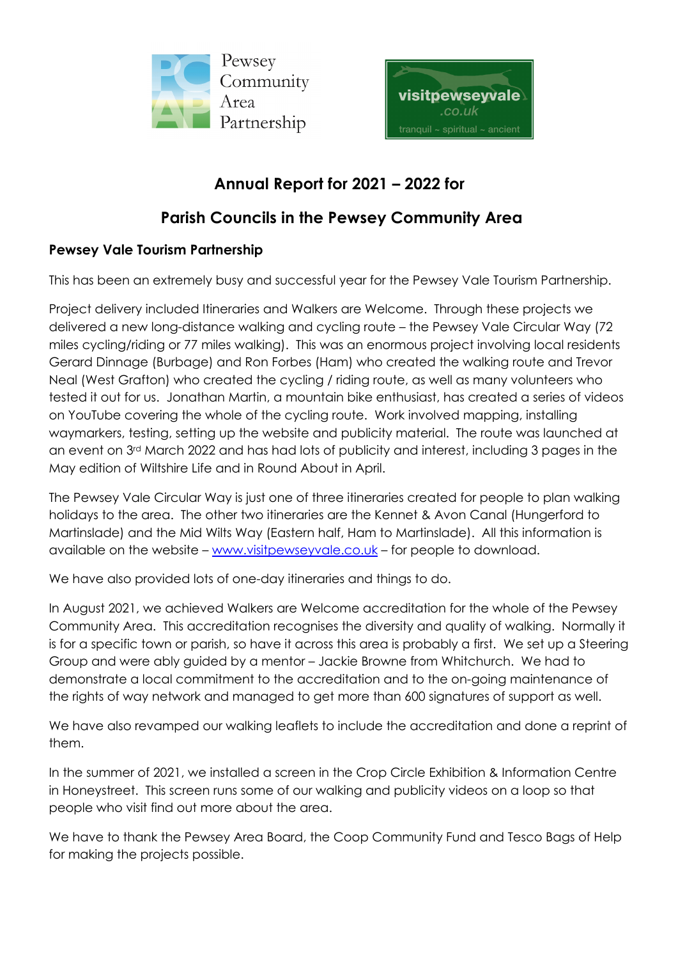



## **Annual Report for 2021 – 2022 for**

## **Parish Councils in the Pewsey Community Area**

## **Pewsey Vale Tourism Partnership**

This has been an extremely busy and successful year for the Pewsey Vale Tourism Partnership.

Project delivery included Itineraries and Walkers are Welcome. Through these projects we delivered a new long-distance walking and cycling route – the Pewsey Vale Circular Way (72 miles cycling/riding or 77 miles walking). This was an enormous project involving local residents Gerard Dinnage (Burbage) and Ron Forbes (Ham) who created the walking route and Trevor Neal (West Grafton) who created the cycling / riding route, as well as many volunteers who tested it out for us. Jonathan Martin, a mountain bike enthusiast, has created a series of videos on YouTube covering the whole of the cycling route. Work involved mapping, installing waymarkers, testing, setting up the website and publicity material. The route was launched at an event on 3rd March 2022 and has had lots of publicity and interest, including 3 pages in the May edition of Wiltshire Life and in Round About in April.

The Pewsey Vale Circular Way is just one of three itineraries created for people to plan walking holidays to the area. The other two itineraries are the Kennet & Avon Canal (Hungerford to Martinslade) and the Mid Wilts Way (Eastern half, Ham to Martinslade). All this information is available on the website – www.visitpewseyvale.co.uk – for people to download.

We have also provided lots of one-day itineraries and things to do.

In August 2021, we achieved Walkers are Welcome accreditation for the whole of the Pewsey Community Area. This accreditation recognises the diversity and quality of walking. Normally it is for a specific town or parish, so have it across this area is probably a first. We set up a Steering Group and were ably guided by a mentor – Jackie Browne from Whitchurch. We had to demonstrate a local commitment to the accreditation and to the on-going maintenance of the rights of way network and managed to get more than 600 signatures of support as well.

We have also revamped our walking leaflets to include the accreditation and done a reprint of them.

In the summer of 2021, we installed a screen in the Crop Circle Exhibition & Information Centre in Honeystreet. This screen runs some of our walking and publicity videos on a loop so that people who visit find out more about the area.

We have to thank the Pewsey Area Board, the Coop Community Fund and Tesco Bags of Help for making the projects possible.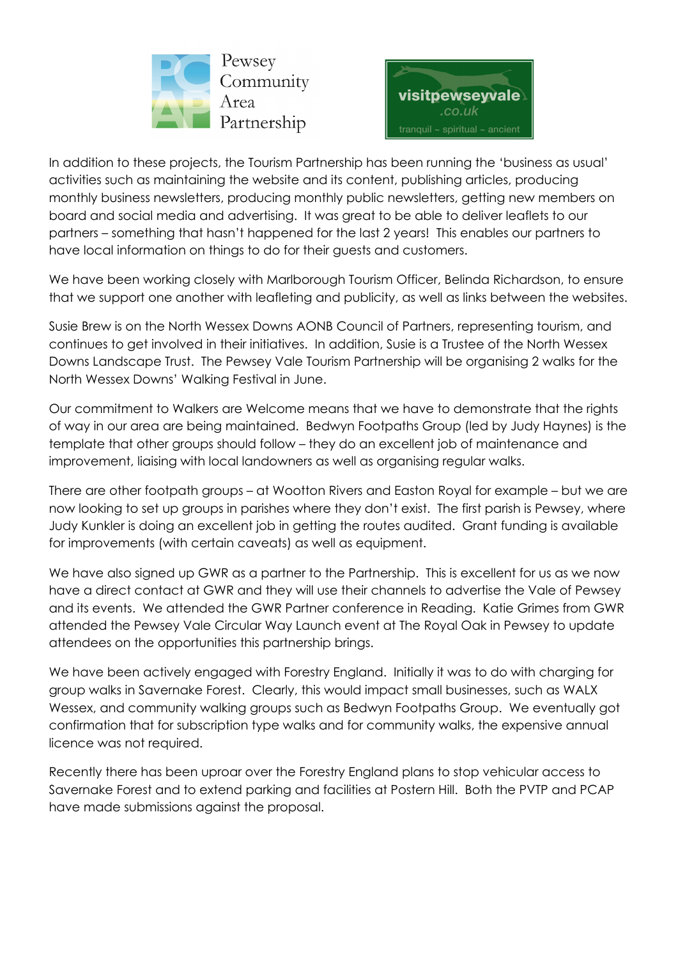



In addition to these projects, the Tourism Partnership has been running the 'business as usual' activities such as maintaining the website and its content, publishing articles, producing monthly business newsletters, producing monthly public newsletters, getting new members on board and social media and advertising. It was great to be able to deliver leaflets to our partners – something that hasn't happened for the last 2 years! This enables our partners to have local information on things to do for their guests and customers.

We have been working closely with Marlborough Tourism Officer, Belinda Richardson, to ensure that we support one another with leafleting and publicity, as well as links between the websites.

Susie Brew is on the North Wessex Downs AONB Council of Partners, representing tourism, and continues to get involved in their initiatives. In addition, Susie is a Trustee of the North Wessex Downs Landscape Trust. The Pewsey Vale Tourism Partnership will be organising 2 walks for the North Wessex Downs' Walking Festival in June.

Our commitment to Walkers are Welcome means that we have to demonstrate that the rights of way in our area are being maintained. Bedwyn Footpaths Group (led by Judy Haynes) is the template that other groups should follow – they do an excellent job of maintenance and improvement, liaising with local landowners as well as organising regular walks.

There are other footpath groups – at Wootton Rivers and Easton Royal for example – but we are now looking to set up groups in parishes where they don't exist. The first parish is Pewsey, where Judy Kunkler is doing an excellent job in getting the routes audited. Grant funding is available for improvements (with certain caveats) as well as equipment.

We have also signed up GWR as a partner to the Partnership. This is excellent for us as we now have a direct contact at GWR and they will use their channels to advertise the Vale of Pewsey and its events. We attended the GWR Partner conference in Reading. Katie Grimes from GWR attended the Pewsey Vale Circular Way Launch event at The Royal Oak in Pewsey to update attendees on the opportunities this partnership brings.

We have been actively engaged with Forestry England. Initially it was to do with charging for group walks in Savernake Forest. Clearly, this would impact small businesses, such as WALX Wessex, and community walking groups such as Bedwyn Footpaths Group. We eventually got confirmation that for subscription type walks and for community walks, the expensive annual licence was not required.

Recently there has been uproar over the Forestry England plans to stop vehicular access to Savernake Forest and to extend parking and facilities at Postern Hill. Both the PVTP and PCAP have made submissions against the proposal.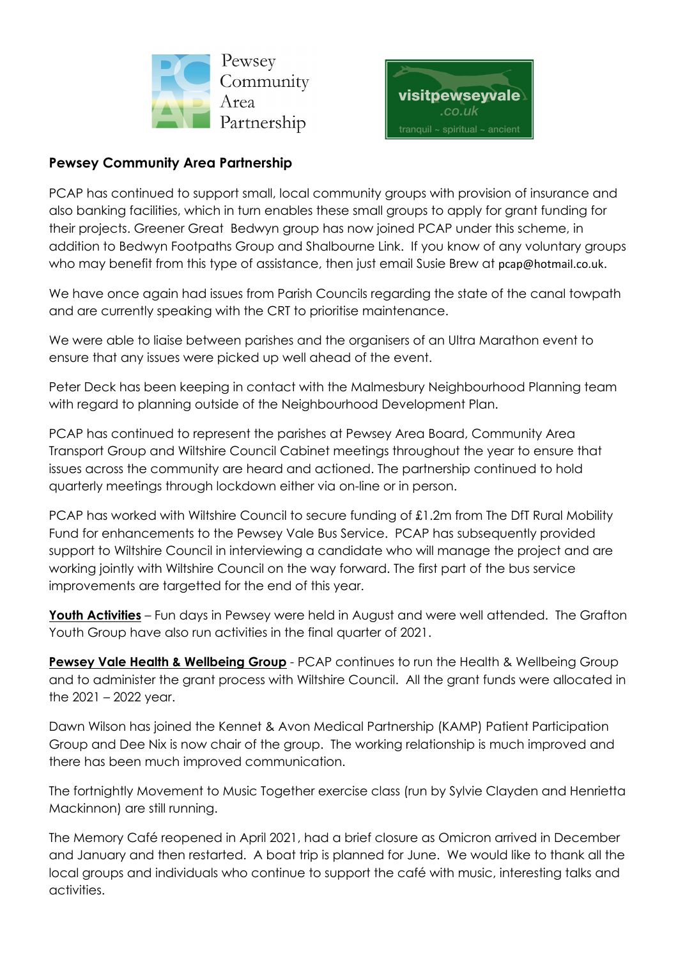



## **Pewsey Community Area Partnership**

PCAP has continued to support small, local community groups with provision of insurance and also banking facilities, which in turn enables these small groups to apply for grant funding for their projects. Greener Great Bedwyn group has now joined PCAP under this scheme, in addition to Bedwyn Footpaths Group and Shalbourne Link. If you know of any voluntary groups who may benefit from this type of assistance, then just email Susie Brew at pcap@hotmail.co.uk.

We have once again had issues from Parish Councils regarding the state of the canal towpath and are currently speaking with the CRT to prioritise maintenance.

We were able to liaise between parishes and the organisers of an Ultra Marathon event to ensure that any issues were picked up well ahead of the event.

Peter Deck has been keeping in contact with the Malmesbury Neighbourhood Planning team with regard to planning outside of the Neighbourhood Development Plan.

PCAP has continued to represent the parishes at Pewsey Area Board, Community Area Transport Group and Wiltshire Council Cabinet meetings throughout the year to ensure that issues across the community are heard and actioned. The partnership continued to hold quarterly meetings through lockdown either via on-line or in person.

PCAP has worked with Wiltshire Council to secure funding of £1.2m from The DfT Rural Mobility Fund for enhancements to the Pewsey Vale Bus Service. PCAP has subsequently provided support to Wiltshire Council in interviewing a candidate who will manage the project and are working jointly with Wiltshire Council on the way forward. The first part of the bus service improvements are targetted for the end of this year.

**Youth Activities** – Fun days in Pewsey were held in August and were well attended. The Grafton Youth Group have also run activities in the final quarter of 2021.

**Pewsey Vale Health & Wellbeing Group** - PCAP continues to run the Health & Wellbeing Group and to administer the grant process with Wiltshire Council. All the grant funds were allocated in the 2021 – 2022 year.

Dawn Wilson has joined the Kennet & Avon Medical Partnership (KAMP) Patient Participation Group and Dee Nix is now chair of the group. The working relationship is much improved and there has been much improved communication.

The fortnightly Movement to Music Together exercise class (run by Sylvie Clayden and Henrietta Mackinnon) are still running.

The Memory Café reopened in April 2021, had a brief closure as Omicron arrived in December and January and then restarted. A boat trip is planned for June. We would like to thank all the local groups and individuals who continue to support the café with music, interesting talks and activities.